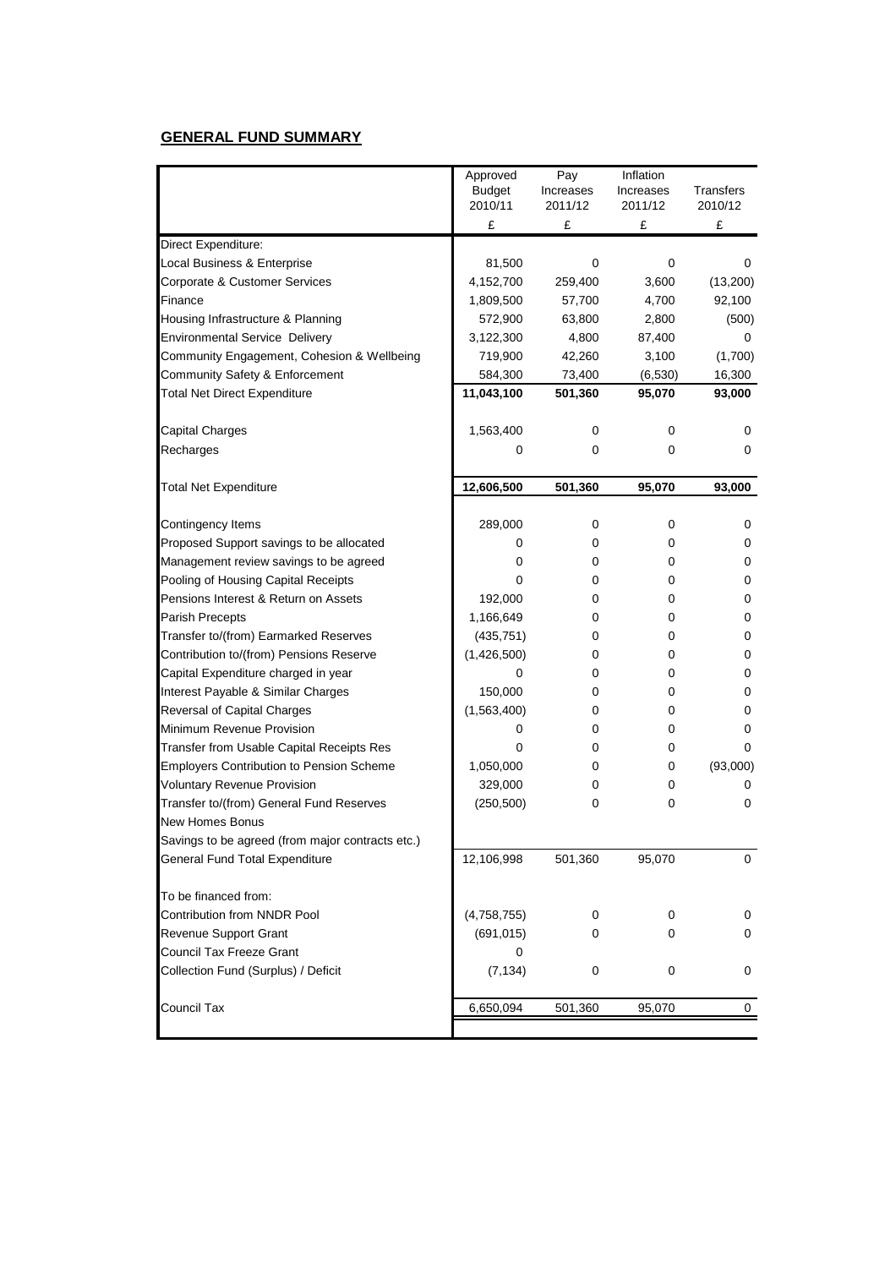## **GENERAL FUND SUMMARY**

|                                                  | Approved      | Pay       | Inflation |                  |
|--------------------------------------------------|---------------|-----------|-----------|------------------|
|                                                  | <b>Budget</b> | Increases | Increases | <b>Transfers</b> |
|                                                  | 2010/11       | 2011/12   | 2011/12   | 2010/12          |
|                                                  | £             | £         | £         | £                |
| Direct Expenditure:                              |               |           |           |                  |
| Local Business & Enterprise                      | 81,500        | 0         | 0         | 0                |
| Corporate & Customer Services                    | 4,152,700     | 259,400   | 3,600     | (13,200)         |
| Finance                                          | 1,809,500     | 57,700    | 4,700     | 92,100           |
| Housing Infrastructure & Planning                | 572,900       | 63,800    | 2,800     | (500)            |
| <b>Environmental Service Delivery</b>            | 3,122,300     | 4,800     | 87,400    | 0                |
| Community Engagement, Cohesion & Wellbeing       | 719,900       | 42,260    | 3,100     | (1,700)          |
| Community Safety & Enforcement                   | 584,300       | 73,400    | (6,530)   | 16,300           |
| <b>Total Net Direct Expenditure</b>              | 11,043,100    | 501,360   | 95,070    | 93,000           |
| <b>Capital Charges</b>                           | 1,563,400     | 0         | 0         | 0                |
| Recharges                                        | 0             | 0         | 0         | 0                |
| <b>Total Net Expenditure</b>                     | 12,606,500    | 501,360   | 95,070    | 93,000           |
|                                                  |               |           |           |                  |
| Contingency Items                                | 289,000       | 0         | 0         | 0                |
| Proposed Support savings to be allocated         | 0             | 0         | 0         | 0                |
| Management review savings to be agreed           | 0             | 0         | 0         | 0                |
| Pooling of Housing Capital Receipts              | 0             | 0         | 0         | 0                |
| Pensions Interest & Return on Assets             | 192,000       | 0         | 0         | 0                |
| Parish Precepts                                  | 1,166,649     | 0         | 0         | 0                |
| Transfer to/(from) Earmarked Reserves            | (435, 751)    | 0         | 0         | 0                |
| Contribution to/(from) Pensions Reserve          | (1,426,500)   | 0         | 0         | 0                |
| Capital Expenditure charged in year              | 0             | 0         | 0         | 0                |
| Interest Payable & Similar Charges               | 150,000       | 0         | 0         | 0                |
| Reversal of Capital Charges                      | (1,563,400)   | 0         | 0         | 0                |
| Minimum Revenue Provision                        | 0             | 0         | 0         | 0                |
| Transfer from Usable Capital Receipts Res        | 0             | 0         | 0         | 0                |
| <b>Employers Contribution to Pension Scheme</b>  | 1,050,000     | 0         | 0         | (93,000)         |
| <b>Voluntary Revenue Provision</b>               | 329,000       | 0         | 0         | 0                |
| Transfer to/(from) General Fund Reserves         | (250, 500)    | 0         | 0         | 0                |
| <b>New Homes Bonus</b>                           |               |           |           |                  |
| Savings to be agreed (from major contracts etc.) |               |           |           |                  |
| <b>General Fund Total Expenditure</b>            | 12,106,998    | 501,360   | 95,070    | 0                |
| To be financed from:                             |               |           |           |                  |
| Contribution from NNDR Pool                      | (4,758,755)   | 0         | 0         | 0                |
| Revenue Support Grant                            | (691, 015)    | 0         | 0         | 0                |
| <b>Council Tax Freeze Grant</b>                  | 0             |           |           |                  |
| Collection Fund (Surplus) / Deficit              | (7, 134)      | 0         | 0         | 0                |
| Council Tax                                      | 6,650,094     | 501,360   | 95,070    | 0                |
|                                                  |               |           |           |                  |